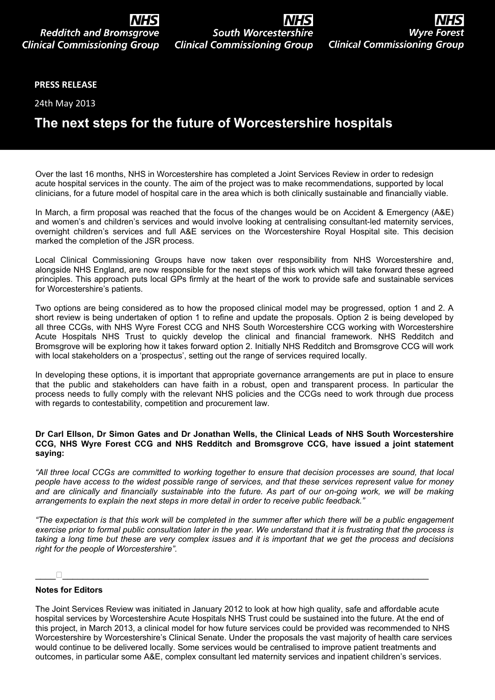# **NHS South Worcestershire**<br>Clinical Commissioning Group

### **PRESS RELEASE**

24th May 2013

## **The next steps for the future of Worcestershire hospitals**

Over the last 16 months, NHS in Worcestershire has completed a Joint Services Review in order to redesign acute hospital services in the county. The aim of the project was to make recommendations, supported by local clinicians, for a future model of hospital care in the area which is both clinically sustainable and financially viable.

In March, a firm proposal was reached that the focus of the changes would be on Accident & Emergency (A&E) and women's and children's services and would involve looking at centralising consultant-led maternity services, overnight children's services and full A&E services on the Worcestershire Royal Hospital site. This decision marked the completion of the JSR process.

Local Clinical Commissioning Groups have now taken over responsibility from NHS Worcestershire and, alongside NHS England, are now responsible for the next steps of this work which will take forward these agreed principles. This approach puts local GPs firmly at the heart of the work to provide safe and sustainable services for Worcestershire's patients.

Two options are being considered as to how the proposed clinical model may be progressed, option 1 and 2. A short review is being undertaken of option 1 to refine and update the proposals. Option 2 is being developed by all three CCGs, with NHS Wyre Forest CCG and NHS South Worcestershire CCG working with Worcestershire Acute Hospitals NHS Trust to quickly develop the clinical and financial framework. NHS Redditch and Bromsgrove will be exploring how it takes forward option 2. Initially NHS Redditch and Bromsgrove CCG will work with local stakeholders on a 'prospectus', setting out the range of services required locally.

In developing these options, it is important that appropriate governance arrangements are put in place to ensure that the public and stakeholders can have faith in a robust, open and transparent process. In particular the process needs to fully comply with the relevant NHS policies and the CCGs need to work through due process with regards to contestability, competition and procurement law.

#### **Dr Carl Ellson, Dr Simon Gates and Dr Jonathan Wells, the Clinical Leads of NHS South Worcestershire CCG, NHS Wyre Forest CCG and NHS Redditch and Bromsgrove CCG, have issued a joint statement saying:**

"All three local CCGs are committed to working together to ensure that decision processes are sound, that local people have access to the widest possible range of services, and that these services represent value for money and are clinically and financially sustainable into the future. As part of our on-going work, we will be making *arrangements to explain the next steps in more detail in order to receive public feedback."*

"The expectation is that this work will be completed in the summer after which there will be a public engagement exercise prior to formal public consultation later in the year. We understand that it is frustrating that the process is taking a long time but these are very complex issues and it is important that we get the process and decisions *right for the people of Worcestershire".*

#### \_\_\_\_\_\_\_\_\_\_\_\_\_\_\_\_\_\_\_\_\_\_\_\_\_\_\_\_\_\_\_\_\_\_\_\_\_\_\_\_\_\_\_\_\_\_\_\_\_\_\_\_\_\_\_\_\_\_\_\_\_\_\_\_\_\_\_\_\_\_\_\_\_\_\_\_

#### **Notes for Editors**

The Joint Services Review was initiated in January 2012 to look at how high quality, safe and affordable acute hospital services by Worcestershire Acute Hospitals NHS Trust could be sustained into the future. At the end of this project, in March 2013, a clinical model for how future services could be provided was recommended to NHS Worcestershire by Worcestershire's Clinical Senate. Under the proposals the vast majority of health care services would continue to be delivered locally. Some services would be centralised to improve patient treatments and outcomes, in particular some A&E, complex consultant led maternity services and inpatient children's services.